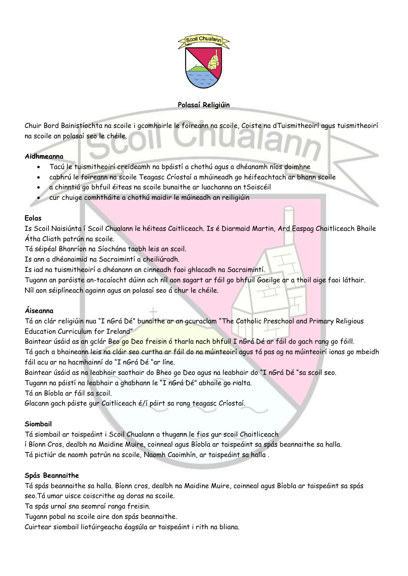

# **Polasaí Religiúin**

Chuir Bord Bainistíochta na scoile i gcomhairle le foireann na scoile, Coiste na dTuismitheoirí agus tuismitheoirí na scoile an polasaí seo le chéile.

#### **Aidhmeanna**

- Tacú le tuismitheoirí creideamh na bpáistí a chothú agus a dhéanamh níos doimhne
- cabhrú le foireann na scoile Teagasc Críostaí a mhúineadh go héifeachtach ar bhonn scoile
- a chinntiú go bhfuil éiteas na scoile bunaithe ar luachanna an tSoiscéil
- cur chuige comhtháite a chothú maidir le múineadh an reiligiúin

#### **Eolas**

Is Scoil Naisiúnta í Scoil Chualann le héiteas Caitliceach. Is é Diarmaid Martin, Ard Easpag Chaitliceach Bhaile Átha Cliath patrún na scoile.

Tá séipéal Bhanríon na Síochána taobh leis an scoil.

Is ann a dhéanaimid na Sacraimintí a cheiliúradh.

Is iad na tuismitheoirí a dhéanann an cinneadh faoi ghlacadh na Sacraimintí.

Tugann an paróiste an-tacaíocht dúinn ach níl aon sagart ar fáil go bhfuil Gaeilge ar a thoil aige faoi láthair.

Níl aon séiplíneach againn agus an polasaí seo á chur le chéile.

# **Áiseanna**

Tá an clár religiúin nua "I nGrá Dé" bunaithe ar an gcuraclam "The Catholic Preschool and Primary Religious Education Curriculum for Ireland"

Baintear úsáid as an gclár Beo go Deo freisin ó tharla nach bhfuil I nGrá Dé ar fáil do gach rang go fóill. Tá gach a bhaineann leis na cláir seo curtha ar fáil do na múinteoirí agus tá pas ag na múinteoirí ionas go mbeidh fáil acu ar na hacmhainní do "I nGrá Dé "ar líne.

Baintear úsáid as na leabhair saothair do Bheo go Deo agus na leabhair do "I nGrá Dé "sa scoil seo.

Tugann na páistí na leabhair a ghabhann le "I nGrá Dé" abhaile go rialta.

Tá an Bíobla ar fáil sa scoil.

Glacann gach páiste gur Caitliceach é/í páirt sa rang teagasc Críostaí.

### **Siombail**

Tá siombail ar taispeáint i Scoil Chualann a thugann le fios gur scoil Chaitliceach

í Bíonn Cros, dealbh na Maidine Muire, coinneal agus Bíobla ar taispeáint sa spás beannaithe sa halla.

Tá pictiúr de naomh patrún na scoile, Naomh Caoimhín, ar taispeáint sa halla .

### **Spás Beannaithe**

Tá spás beannaithe sa halla. Bíonn cros, dealbh na Maidine Muire, coinneal agus Bíobla ar taispeáint sa spás seo.Tá umar uisce coiscrithe ag doras na scoile.

Ta spás urnaí sna seomraí ranga freisin.

Tugann pobal na scoile aire don spás beannaithe.

Cuirtear siombail liotúirgeacha éagsúla ar taispeáint i rith na bliana.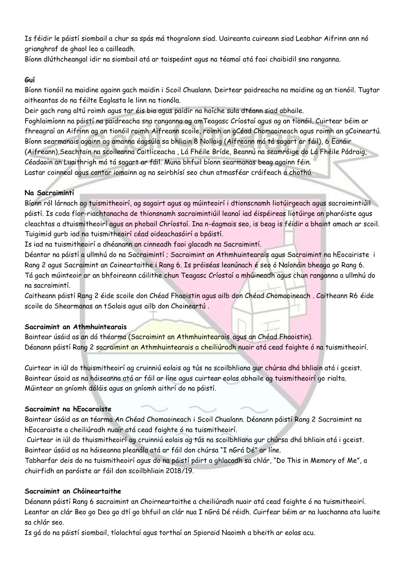Is féidir le páistí siombail a chur sa spás má thograíonn siad. Uaireanta cuireann siad Leabhar Aifrinn ann nó grianghraf de ghaol leo a cailleadh.

Bíonn dlúthcheangal idir na siombail atá ar taispeáint agus na téamaí atá faoi chaibidil sna ranganna.

### **Guí**

Bíonn tionóil na maidine againn gach maidin i Scoil Chualann. Deirtear paidreacha na maidine ag an tionóil. Tugtar aitheantas do na féilte Eaglasta le linn na tionóla.

Deir gach rang altú roimh agus tar éis bia agus paidir na hoíche sula dtéann siad abhaile.

Foghlaimíonn na páistí na paidreacha sna ranganna ag amTeagasc Críostaí agus ag an tionóil. Cuirtear béim ar fhreagraí an Aifrinn ag an tionóil roimh Aifreann scoile, roimh an gCéad Chomaoineach agus roimh an gCoineartú. Bíonn searmanais againn ag amanna éagsúla sa bhliain 8 Nollaig (Aifreann má tá sagart ar fáil), 6 Eanáir (Aifreann),Seachtain na scoileanna Caitliceacha , Lá Fhéile Bríde, Beannú na seamróige do Lá Fhéile Pádraig, Céadaoin an Luaithrigh má tá sagart ar fáil. Muna bhfuil bíonn searmanas beag againn féin. Lastar coinneal agus cantar iomainn ag na seirbhísí seo chun atmasféar cráifeach a chothú.

### **Na Sacraimintí**

Bíonn ról lárnach ag tuismitheoirí, ag sagairt agus ag múinteoirí i dtionscnamh liotúirgeach agus sacraimintiúil páistí. Is coda fíor-riachtanacha de thionsnamh sacraimintiúil leanaí iad éispéireas liotúirge an pharóiste agus cleachtas a dtuismitheoirí agus an phobail Chríostaí. Ina n-éagmais seo, is beag is féidir a bhaint amach ar scoil. Tuigimid gurb iad na tuismitheoirí céad oideachasóirí a bpáistí.

Is iad na tuismitheoirí a dhéanann an cinneadh faoi glacadh na Sacraimintí.

Déantar na páistí a ullmhú do na Sacraimintí ; Sacraimint an Athmhuintearais agus Sacraimint na hEocairiste i Rang 2 agus Sacraimint an Coineartaithe i Rang 6. Is próiséas leanúnach é seo ó Naíonáin bheaga go Rang 6. Tá gach múinteoir ar an bhfoireann cáilithe chun Teagasc Críostaí a mhúineadh agus chun ranganna a ullmhú do na sacraimintí.

Caitheann páistí Rang 2 éide scoile don Chéad Fhaoistin agus ailb don Chéad Chomaoineach . Caitheann R6 éide scoile do Shearmanas an tSolais agus ailb don Choineartú .

# **Sacraimint an Athmhuintearais**

Baintear úsáid as an dá théarma (Sacraimint an Athmhuintearais agus an Chéad Fhaoistin). Déanann páistí Rang 2 sacraimint an Athmhuintearais a cheiliúradh nuair atá cead faighte ó na tuismitheoirí.

Cuirtear in iúl do thuismitheoirí ag cruinniú eolais ag tús na scoilbhliana gur chúrsa dhá bhliain atá i gceist. Baintear úsaid as na háiseanna atá ar fáil ar líne agus cuirtear eolas abhaile ag tuismitheoirí go rialta. Múintear an gníomh dóláis agus an gníomh aithrí do na páistí.

### **Sacraimint na hEocaraiste**

Baintear úsáid as an téarma An Chéad Chomaoineach i Scoil Chualann. Déanann páistí Rang 2 Sacraimint na hEocaraiste a cheiliúradh nuair atá cead faighte ó na tuismitheoirí.

Cuirtear in iúl do thuismitheoirí ag cruinniú eolais ag tús na scoilbhliana gur chúrsa dhá bhliain atá i gceist. Baintear úsáid as na háiseanna pleanála atá ar fáil don chúrsa "I nGrá Dé" ar líne.

Tabharfar deis do na tuismitheoirí agus do na páistí páirt a ghlacadh sa chlár, "Do This in Memory of Me", a chuirfidh an paróiste ar fáil don scoilbhliain 2018/19.

### **Sacraimint an Chóineartaithe**

Déanann páistí Rang 6 sacraimint an Choirneartaithe a cheiliúradh nuair atá cead faighte ó na tuismitheoirí. Leantar an clár Beo go Deo go dtí go bhfuil an clár nua I nGrá Dé réidh. Cuirfear béim ar na luachanna ata luaite sa chlár seo.

Is gá do na páistí siombail, tíolachtaí agus torthaí an Spioraid Naoimh a bheith ar eolas acu.